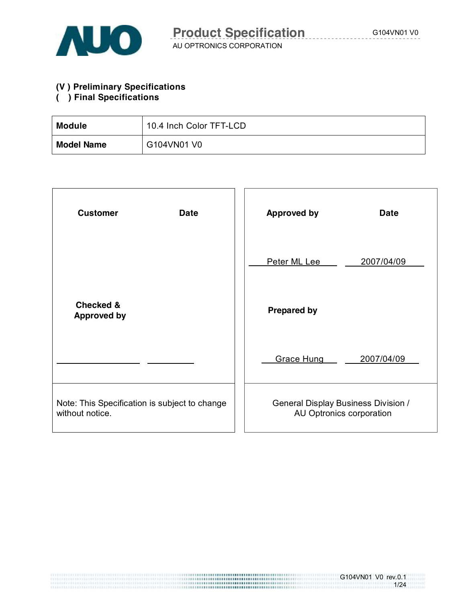

#### **(V ) Preliminary Specifications**

### **( ) Final Specifications**

| <b>Module</b>     | 10.4 Inch Color TFT-LCD |
|-------------------|-------------------------|
| <b>Model Name</b> | G104VN01 V0             |

| <b>Customer</b><br><b>Date</b>                                   | <b>Approved by</b><br><b>Date</b>                               |
|------------------------------------------------------------------|-----------------------------------------------------------------|
|                                                                  | Peter ML Lee<br>2007/04/09                                      |
| <b>Checked &amp;</b><br><b>Approved by</b>                       | <b>Prepared by</b>                                              |
|                                                                  | <b>Grace Hung</b><br>2007/04/09                                 |
| Note: This Specification is subject to change<br>without notice. | General Display Business Division /<br>AU Optronics corporation |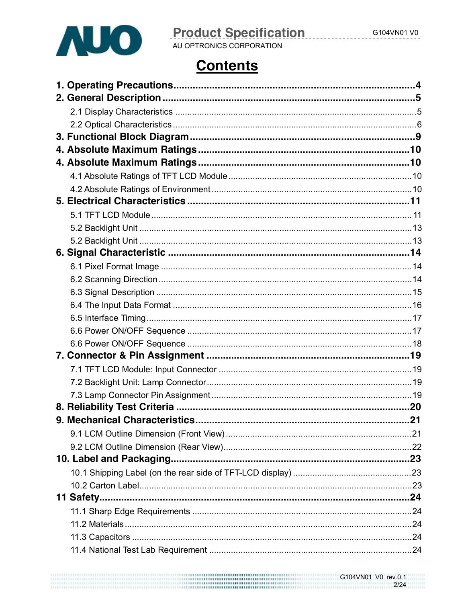

**Product Specification** 

## AU OPTRONICS CORPORATION

## **Contents**

| .21 |
|-----|
|     |
|     |
|     |
|     |
|     |
|     |
|     |
|     |
|     |
|     |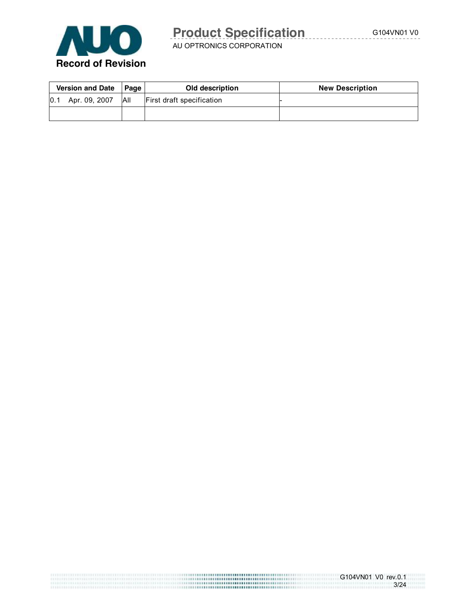

AU OPTRONICS CORPORATION

| <b>Version and Date</b> |               | <b>∣Page</b> I | Old description           | <b>New Description</b> |
|-------------------------|---------------|----------------|---------------------------|------------------------|
| 0.1                     | Apr. 09, 2007 | All            | First draft specification |                        |
|                         |               |                |                           |                        |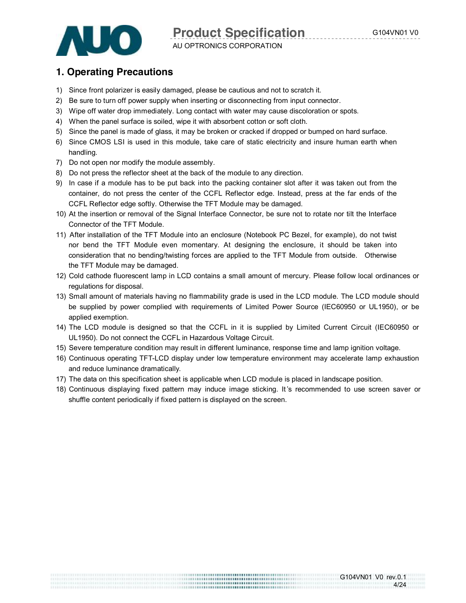4/24



AU OPTRONICS CORPORATION **Product Specification G104VN01 V0** 

### **1. Operating Precautions**

- 1) Since front polarizer is easily damaged, please be cautious and not to scratch it.
- 2) Be sure to turn off power supply when inserting or disconnecting from input connector.
- 3) Wipe off water drop immediately. Long contact with water may cause discoloration or spots.
- 4) When the panel surface is soiled, wipe it with absorbent cotton or soft cloth.
- 5) Since the panel is made of glass, it may be broken or cracked if dropped or bumped on hard surface.
- 6) Since CMOS LSI is used in this module, take care of static electricity and insure human earth when handling.
- 7) Do not open nor modify the module assembly.
- 8) Do not press the reflector sheet at the back of the module to any direction.
- 9) In case if a module has to be put back into the packing container slot after it was taken out from the container, do not press the center of the CCFL Reflector edge. Instead, press at the far ends of the CCFL Reflector edge softly. Otherwise the TFT Module may be damaged.
- 10) At the insertion or removal of the Signal Interface Connector, be sure not to rotate nor tilt the Interface Connector of the TFT Module.
- 11) After installation of the TFT Module into an enclosure (Notebook PC Bezel, for example), do not twist nor bend the TFT Module even momentary. At designing the enclosure, it should be taken into consideration that no bending/twisting forces are applied to the TFT Module from outside. Otherwise the TFT Module may be damaged.
- 12) Cold cathode fluorescent lamp in LCD contains a small amount of mercury. Please follow local ordinances or regulations for disposal.
- 13) Small amount of materials having no flammability grade is used in the LCD module. The LCD module should be supplied by power complied with requirements of Limited Power Source (IEC60950 or UL1950), or be applied exemption.
- 14) The LCD module is designed so that the CCFL in it is supplied by Limited Current Circuit (IEC60950 or UL1950). Do not connect the CCFL in Hazardous Voltage Circuit.
- 15) Severe temperature condition may result in different luminance, response time and lamp ignition voltage.
- 16) Continuous operating TFT-LCD display under low temperature environment may accelerate lamp exhaustion and reduce luminance dramatically.
- 17) The data on this specification sheet is applicable when LCD module is placed in landscape position.
- 18) Continuous displaying fixed pattern may induce image sticking. It 's recommended to use screen saver or shuffle content periodically if fixed pattern is displayed on the screen.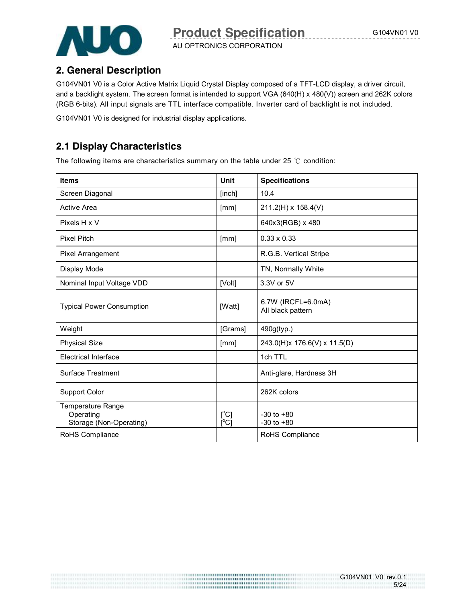AU OPTRONICS CORPORATION



### **2. General Description**

G104VN01 V0 is a Color Active Matrix Liquid Crystal Display composed of a TFT-LCD display, a driver circuit, and a backlight system. The screen format is intended to support VGA (640(H) x 480(V)) screen and 262K colors (RGB 6-bits). All input signals are TTL interface compatible. Inverter card of backlight is not included.

G104VN01 V0 is designed for industrial display applications.

### **2.1 Display Characteristics**

The following items are characteristics summary on the table under 25 ℃ condition:

| <b>Items</b>                                                     | Unit         | <b>Specifications</b>                   |
|------------------------------------------------------------------|--------------|-----------------------------------------|
| Screen Diagonal                                                  | [inch]       | 10.4                                    |
| <b>Active Area</b>                                               | [mm]         | 211.2(H) x 158.4(V)                     |
| Pixels H x V                                                     |              | 640x3(RGB) x 480                        |
| <b>Pixel Pitch</b>                                               | [mm]         | $0.33 \times 0.33$                      |
| <b>Pixel Arrangement</b>                                         |              | R.G.B. Vertical Stripe                  |
| Display Mode                                                     |              | TN, Normally White                      |
| Nominal Input Voltage VDD                                        | [Volt]       | 3.3V or 5V                              |
| <b>Typical Power Consumption</b>                                 | [Watt]       | 6.7W (IRCFL=6.0mA)<br>All black pattern |
| Weight                                                           | [Grams]      | 490g(typ.)                              |
| <b>Physical Size</b>                                             | [mm]         | 243.0(H)x 176.6(V) x 11.5(D)            |
| <b>Electrical Interface</b>                                      |              | 1ch TTL                                 |
| <b>Surface Treatment</b>                                         |              | Anti-glare, Hardness 3H                 |
| <b>Support Color</b>                                             |              | 262K colors                             |
| <b>Temperature Range</b><br>Operating<br>Storage (Non-Operating) | [°C]<br>[°C] | $-30$ to $+80$<br>$-30$ to $+80$        |
| RoHS Compliance                                                  |              | RoHS Compliance                         |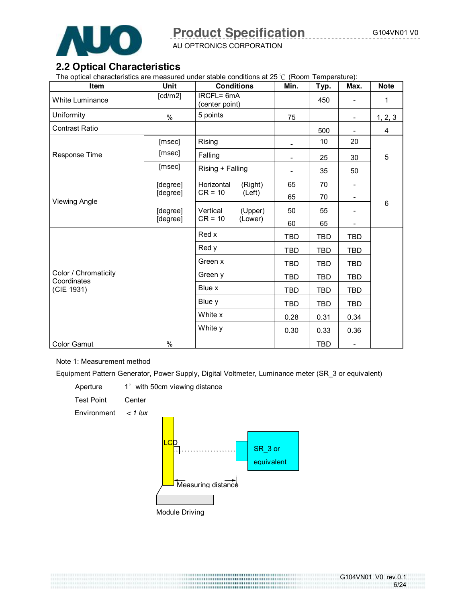

AU OPTRONICS CORPORATION

#### **2.2 Optical Characteristics**

The optical characteristics are measured under stable conditions at 25 ℃ (Room Temperature):

| Item                                | Unit                  | <b>Conditions</b>            | Min.                     | Typ.       | Max.                     | <b>Note</b>    |
|-------------------------------------|-----------------------|------------------------------|--------------------------|------------|--------------------------|----------------|
| White Luminance                     | $\lceil cd/m2 \rceil$ | IRCFL= 6mA<br>(center point) |                          | 450        | $\overline{\phantom{a}}$ | 1              |
| Uniformity                          | $\%$                  | 5 points                     | 75                       |            | $\overline{\phantom{a}}$ | 1, 2, 3        |
| <b>Contrast Ratio</b>               |                       |                              |                          | 500        | $\overline{\phantom{a}}$ | $\overline{4}$ |
|                                     | [msec]                | Rising                       | -                        | 10         | 20                       |                |
| Response Time                       | [msec]                | Falling                      | -                        | 25         | 30                       | 5              |
|                                     | [msec]                | Rising + Falling             | $\overline{\phantom{0}}$ | 35         | 50                       |                |
|                                     | [degree]              | Horizontal<br>(Right)        | 65                       | 70         |                          |                |
| <b>Viewing Angle</b>                | [degree]              | $CR = 10$<br>(Left)          | 65                       | 70         | $\overline{\phantom{a}}$ |                |
|                                     | [degree]              | Vertical<br>(Upper)          | 50                       | 55         |                          | $6\,$          |
|                                     | [degree]              | $CR = 10$<br>(Lower)         | 60                       | 65         |                          |                |
|                                     |                       | Red x                        | <b>TBD</b>               | <b>TBD</b> | <b>TBD</b>               |                |
|                                     |                       | Red y                        | TBD                      | TBD        | <b>TBD</b>               |                |
|                                     |                       | Green x                      | <b>TBD</b>               | TBD        | <b>TBD</b>               |                |
| Color / Chromaticity<br>Coordinates |                       | Green y                      | <b>TBD</b>               | TBD        | <b>TBD</b>               |                |
| (CIE 1931)                          |                       | Blue x                       | TBD                      | TBD        | <b>TBD</b>               |                |
|                                     |                       | Blue y                       | TBD                      | TBD        | <b>TBD</b>               |                |
|                                     |                       | White x                      | 0.28                     | 0.31       | 0.34                     |                |
|                                     |                       | White y                      | 0.30                     | 0.33       | 0.36                     |                |
| Color Gamut                         | $\%$                  |                              |                          | <b>TBD</b> | $\overline{\phantom{a}}$ |                |

Note 1: Measurement method

Equipment Pattern Generator, Power Supply, Digital Voltmeter, Luminance meter (SR\_3 or equivalent)

Aperture 1° with 50cm viewing distance

Test Point Center

Environment *< 1 lux*

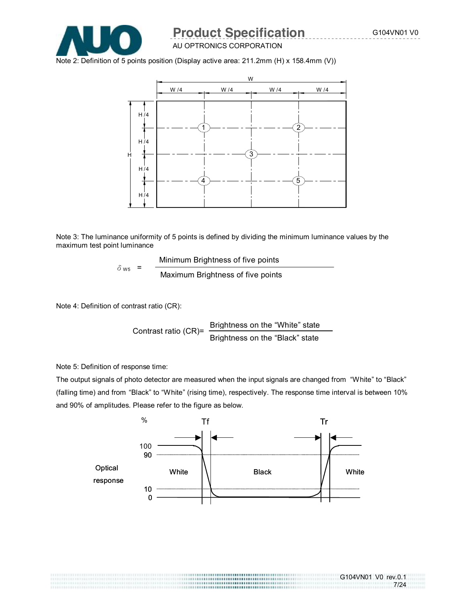7/24



### AU OPTRONICS CORPORATION **Product Specification G104VN01 V0**

Note 2: Definition of 5 points position (Display active area: 211.2mm (H) x 158.4mm (V))



Note 3: The luminance uniformity of 5 points is defined by dividing the minimum luminance values by the maximum test point luminance

> Minimum Brightness of five points  $\delta_{\text{W5}}$  =  $\frac{9}{\text{Maximum~Brighness of five points}}$

Note 4: Definition of contrast ratio (CR):

Contrast ratio (CR)= Brightness on the "White" state Brightness on the "Black" state

Note 5: Definition of response time:

The output signals of photo detector are measured when the input signals are changed from "White" to "Black" (falling time) and from "Black" to "White" (rising time), respectively. The response time interval is between 10% and 90% of amplitudes. Please refer to the figure as below.

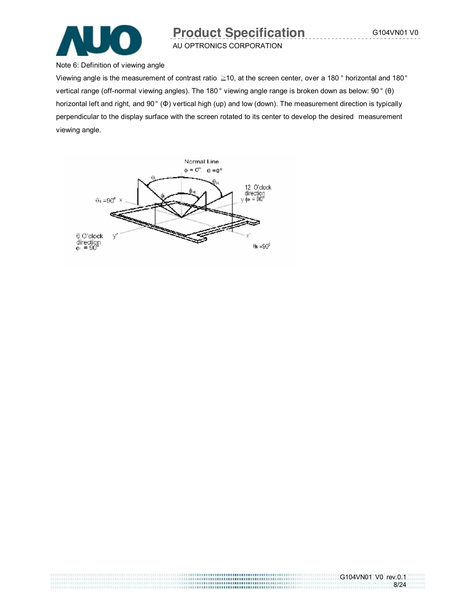

Note 6: Definition of viewing angle

Viewing angle is the measurement of contrast ratio ≧10, at the screen center, over a 180 ° horizontal and 180° vertical range (off-normal viewing angles). The 180 ° viewing angle range is broken down as below: 90 ° (θ) horizontal left and right, and 90° (Φ) vertical high (up) and low (down). The measurement direction is typically perpendicular to the display surface with the screen rotated to its center to develop the desired measurement viewing angle.



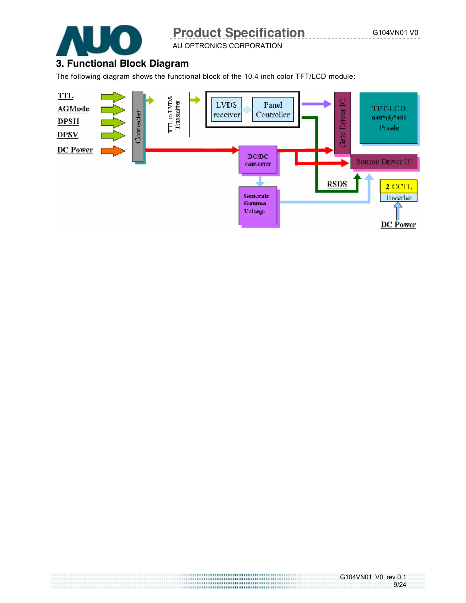

AU OPTRONICS CORPORATION

## **3. Functional Block Diagram**

The following diagram shows the functional block of the 10.4 inch color TFT/LCD module:

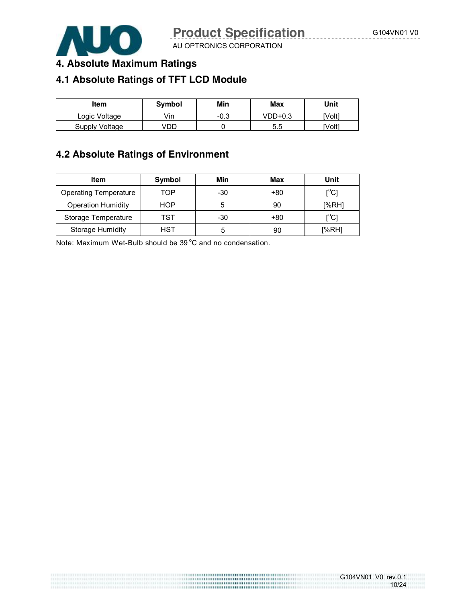

G104VN01 V0 rev.0.1

10/24

AU OPTRONICS CORPORATION

### **4. Absolute Maximum Ratings**

## **4.1 Absolute Ratings of TFT LCD Module**

| ltem           | Symbol | Min    | Max     | Unit   |
|----------------|--------|--------|---------|--------|
| Logic Voltage  | /in    | $-0.3$ | VDD+0.3 | 'Volt1 |
| Supply Voltage | /DD    |        | 5.5     | [Volt] |

#### **4.2 Absolute Ratings of Environment**

| Item                         | Symbol | Min | Max | Unit                                    |
|------------------------------|--------|-----|-----|-----------------------------------------|
| <b>Operating Temperature</b> | TOP    | -30 | +80 | $\mathsf{I}^\circ\mathsf{C} \mathsf{I}$ |
| <b>Operation Humidity</b>    | HOP    | 5   | 90  | [%RH]                                   |
| Storage Temperature          | TST    | -30 | +80 | $\mathsf{I}^\circ\mathsf{C} \mathsf{I}$ |
| <b>Storage Humidity</b>      | HST    |     | 90  | [%RH]                                   |

Note: Maximum Wet-Bulb should be  $39^{\circ}$ C and no condensation.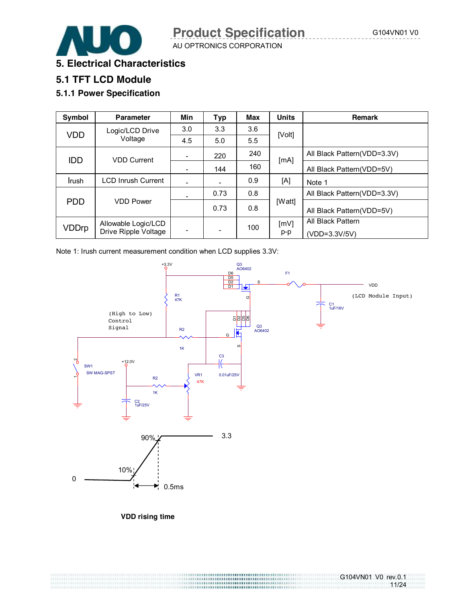11/24



AU OPTRONICS CORPORATION

#### **5. Electrical Characteristics**

### **5.1 TFT LCD Module**

### **5.1.1 Power Specification**

| Symbol        | <b>Parameter</b>          | Min                      | <b>Typ</b> | <b>Max</b> | <b>Units</b> | <b>Remark</b>                |
|---------------|---------------------------|--------------------------|------------|------------|--------------|------------------------------|
| <b>VDD</b>    | Logic/LCD Drive           | 3.0                      | 3.3        | 3.6        | [Volt]       |                              |
|               | Voltage                   | 4.5                      | 5.0        | 5.5        |              |                              |
| <b>IDD</b>    | <b>VDD Current</b>        | -                        | 220        | 240        | [mA]         | All Black Pattern (VDD=3.3V) |
|               |                           |                          | 144        | 160        |              | All Black Pattern (VDD=5V)   |
| <b>I</b> rush | <b>LCD Inrush Current</b> |                          |            | 0.9        | [A]          | Note 1                       |
|               |                           |                          | 0.73       | 0.8        |              | All Black Pattern (VDD=3.3V) |
| <b>PDD</b>    | <b>VDD Power</b>          |                          | 0.73       | 0.8        | [Watt]       | All Black Pattern (VDD=5V)   |
| VDDrp         | Allowable Logic/LCD       |                          |            | 100        | [mV]         | All Black Pattern            |
|               | Drive Ripple Voltage      | $\overline{\phantom{a}}$ | -          |            | p-p          | (VDD=3.3V/5V)                |

Note 1: Irush current measurement condition when LCD supplies 3.3V:



**VDD rising time**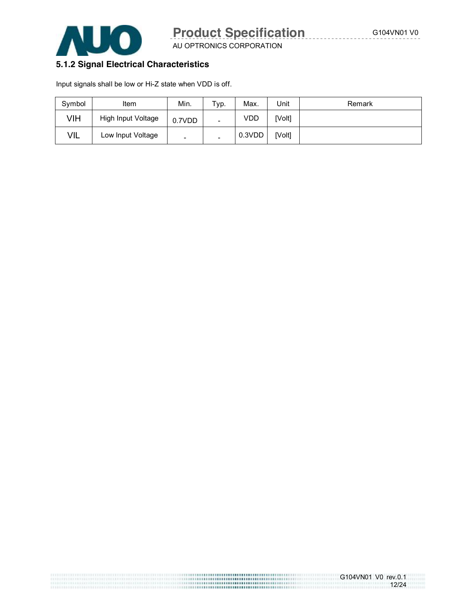

AU OPTRONICS CORPORATION

#### **5.1.2 Signal Electrical Characteristics**

Input signals shall be low or Hi-Z state when VDD is off.

| Symbol<br>Item           |                    | Min.                     | Typ. | Max.   | Unit   | Remark |
|--------------------------|--------------------|--------------------------|------|--------|--------|--------|
| VIH                      | High Input Voltage | 0.7VDD                   |      | VDD    | [Volt] |        |
| VIL<br>Low Input Voltage |                    | $\overline{\phantom{0}}$ | -    | 0.3VDD | [Volt] |        |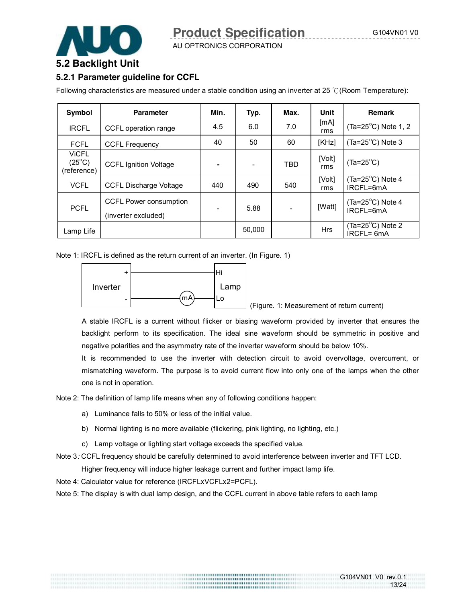#### **5.2 Backlight Unit**

#### **5.2.1 Parameter guideline for CCFL**

Following characteristics are measured under a stable condition using an inverter at 25 ℃(Room Temperature):

| Symbol                                         | <b>Parameter</b>                                     | Min. | Typ.   | Max.                     | Unit          | <b>Remark</b>                              |
|------------------------------------------------|------------------------------------------------------|------|--------|--------------------------|---------------|--------------------------------------------|
| <b>IRCFL</b>                                   | CCFL operation range                                 |      | 6.0    | 7.0                      | [mA]<br>rms   | $(Ta=25^{\circ}C)$ Note 1, 2               |
| <b>FCFL</b>                                    | <b>CCFL Frequency</b>                                | 40   | 50     | 60                       | [KHz]         | (Ta= $25^{\circ}$ C) Note 3                |
| <b>ViCFL</b><br>$(25^{\circ}C)$<br>(reference) | <b>CCFL Ignition Voltage</b>                         |      |        | TBD                      | [Volt]<br>rms | $(Ta=25^{\circ}C)$                         |
| <b>VCFL</b>                                    | <b>CCFL Discharge Voltage</b>                        | 440  | 490    | 540                      | [Volt]<br>rms | $(Ta=25^{\circ}C)$ Note 4<br>IRCFL=6mA     |
| <b>PCFL</b>                                    | <b>CCFL Power consumption</b><br>(inverter excluded) |      | 5.88   | $\overline{\phantom{a}}$ | [Watt]        | $(Ta=25^{\circ}C)$ Note 4<br>$IRCFI = 6mA$ |
| Lamp Life                                      |                                                      |      | 50,000 |                          | <b>Hrs</b>    | $(Ta=25^{\circ}C)$ Note 2<br>IRCFL= 6mA    |

Note 1: IRCFL is defined as the return current of an inverter. (In Figure. 1)



(Figure. 1: Measurement of return current)

G104VN01 V0 rev.0.1

13/24

A stable IRCFL is a current without flicker or biasing waveform provided by inverter that ensures the backlight perform to its specification. The ideal sine waveform should be symmetric in positive and negative polarities and the asymmetry rate of the inverter waveform should be below 10%.

It is recommended to use the inverter with detection circuit to avoid overvoltage, overcurrent, or mismatching waveform. The purpose is to avoid current flow into only one of the lamps when the other one is not in operation.

Note 2: The definition of lamp life means when any of following conditions happen:

- a) Luminance falls to 50% or less of the initial value.
- b) Normal lighting is no more available (flickering, pink lighting, no lighting, etc.)
- c) Lamp voltage or lighting start voltage exceeds the specified value.
- Note 3*:* CCFL frequency should be carefully determined to avoid interference between inverter and TFT LCD.

Higher frequency will induce higher leakage current and further impact lamp life.

Note 4: Calculator value for reference (IRCFLxVCFLx2=PCFL).

Note 5: The display is with dual lamp design, and the CCFL current in above table refers to each lamp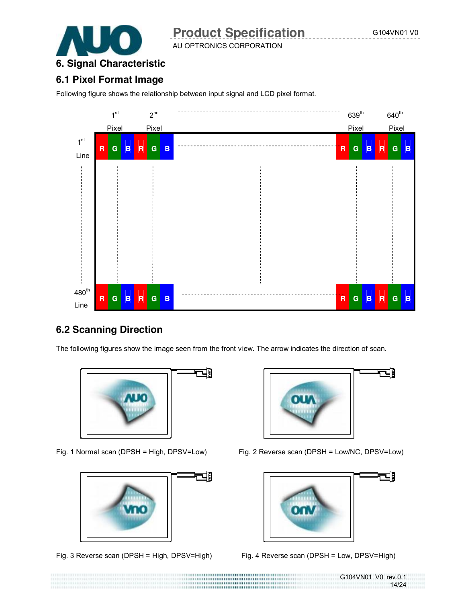

AU OPTRONICS CORPORATION

## **6. Signal Characteristic**

#### **6.1 Pixel Format Image**

Following figure shows the relationship between input signal and LCD pixel format.



### **6.2 Scanning Direction**

The following figures show the image seen from the front view. The arrow indicates the direction of scan.





Fig. 3 Reverse scan (DPSH = High, DPSV=High) Fig. 4 Reverse scan (DPSH = Low, DPSV=High)



Fig. 1 Normal scan (DPSH = High, DPSV=Low) Fig. 2 Reverse scan (DPSH = Low/NC, DPSV=Low)



G104VN01 V0 rev.0.1 14/24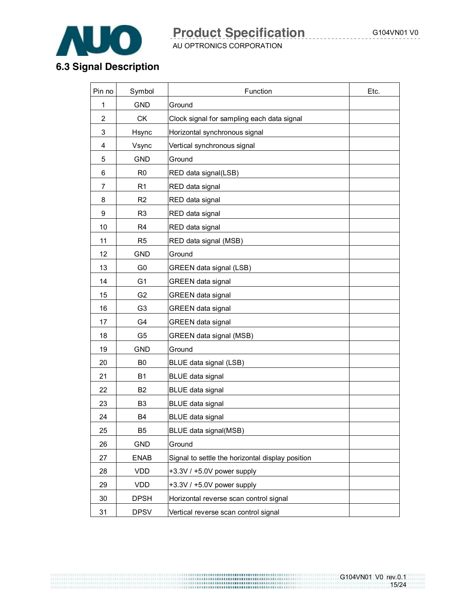

AU OPTRONICS CORPORATION

## **6.3 Signal Description**

| Pin no         | Symbol         | Function                                         | Etc. |
|----------------|----------------|--------------------------------------------------|------|
| 1              | <b>GND</b>     | Ground                                           |      |
| $\overline{2}$ | <b>CK</b>      | Clock signal for sampling each data signal       |      |
| 3              | Hsync          | Horizontal synchronous signal                    |      |
| 4              | Vsync          | Vertical synchronous signal                      |      |
| 5              | <b>GND</b>     | Ground                                           |      |
| 6              | R <sub>0</sub> | RED data signal(LSB)                             |      |
| $\overline{7}$ | R <sub>1</sub> | RED data signal                                  |      |
| 8              | R <sub>2</sub> | RED data signal                                  |      |
| 9              | R <sub>3</sub> | RED data signal                                  |      |
| 10             | R <sub>4</sub> | RED data signal                                  |      |
| 11             | R <sub>5</sub> | RED data signal (MSB)                            |      |
| 12             | <b>GND</b>     | Ground                                           |      |
| 13             | G <sub>0</sub> | GREEN data signal (LSB)                          |      |
| 14             | G <sub>1</sub> | <b>GREEN</b> data signal                         |      |
| 15             | G <sub>2</sub> | <b>GREEN</b> data signal                         |      |
| 16             | G <sub>3</sub> | GREEN data signal                                |      |
| 17             | G4             | <b>GREEN</b> data signal                         |      |
| 18             | G <sub>5</sub> | GREEN data signal (MSB)                          |      |
| 19             | <b>GND</b>     | Ground                                           |      |
| 20             | B <sub>0</sub> | BLUE data signal (LSB)                           |      |
| 21             | <b>B1</b>      | <b>BLUE</b> data signal                          |      |
| 22             | B <sub>2</sub> | BLUE data signal                                 |      |
| 23             | B <sub>3</sub> | <b>BLUE</b> data signal                          |      |
| 24             | B4             | <b>BLUE data signal</b>                          |      |
| 25             | B <sub>5</sub> | BLUE data signal(MSB)                            |      |
| 26             | <b>GND</b>     | Ground                                           |      |
| 27             | <b>ENAB</b>    | Signal to settle the horizontal display position |      |
| 28             | <b>VDD</b>     | $+3.3V/ +5.0V$ power supply                      |      |
| 29             | <b>VDD</b>     | +3.3V / +5.0V power supply                       |      |
| 30             | <b>DPSH</b>    | Horizontal reverse scan control signal           |      |
| 31             | <b>DPSV</b>    | Vertical reverse scan control signal             |      |

G104VN01 V0 rev.0.1 15/24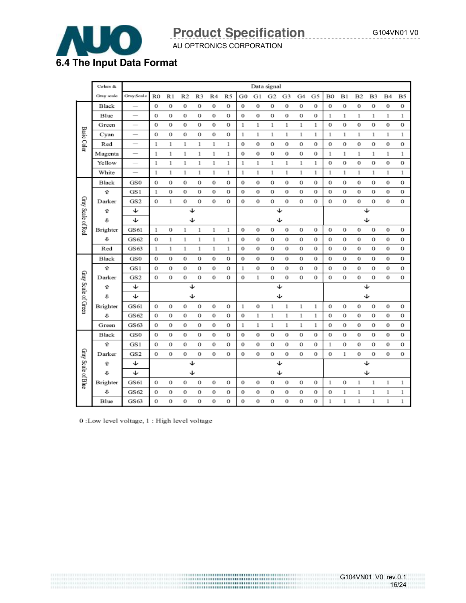16/24



## AU OPTRONICS CORPORATION **Product Specification G104VN01 V0**

|                     | Colors &   | Data signal              |    |              |          |    |                |    |          |    |          |    |    |    |              |    |    |          |           |       |
|---------------------|------------|--------------------------|----|--------------|----------|----|----------------|----|----------|----|----------|----|----|----|--------------|----|----|----------|-----------|-------|
|                     | Gray scale | Gray Scale               | R0 | R1           | R2       | R3 | R <sub>4</sub> | R5 | G0       | G1 | G2       | G3 | G4 | G5 | B0           | B1 | Β2 | B3       | <b>B4</b> | Β5    |
|                     | Black      |                          | 0  | 0            | 0        | 0  | 0              | 0  | 0        | 0  | 0        | 0  | 0  | 0  | $\bf{0}$     | 0  | 0  | $\bf{0}$ | 0         | 0     |
|                     | Blue       |                          | 0  | 0            | 0        | o  | 0              | 0  | 0        | 0  | 0        | 0  | 0  | 0  | 1            | 1  | 1  | 1        | 1         | 1     |
|                     | Green      |                          | 0  | 0            | 0        | 0  | 0              | 0  | 1        | 1  | 1        | 1  | 1  | 1  | 0            | 0  | 0  | 0        | 0         | 0     |
|                     | Cyan       |                          | 0  | 0            | 0        | 0  | 0              | 0  | 1        | 1  | 1        | 1  | 1  | 1  | 1            | 1  | 1  | 1        | 1         | 1     |
| <b>Basic Color</b>  | Red        |                          | 1  | 1            | 1        | 1  | 1              | 1  | 0        | 0  | 0        | 0  | 0  | 0  | 0            | 0  | 0  | 0        | 0         | 0     |
|                     | Magenta    | $\overline{\phantom{0}}$ | 1  | 1            | 1        | 1  | 1              | 1  | 0        | 0  | 0        | 0  | 0  | 0  | 1            | 1  | 1  | $\!1$    | 1         | $\!1$ |
|                     | Yellow     |                          | 1  | 1            | 1        | 1  | 1              | 1  | 1        | 1  | 1        | 1  | 1  | 1  | 0            | 0  | 0  | 0        | 0         | 0     |
|                     | White      |                          | 1  | $\mathbf{1}$ | 1        | 1  | 1              | 1  | 1        | 1  | 1        | 1  | 1  | 1  | 1            | 1  | 1  | 1        | 1         | 1     |
|                     | Black      | GS0                      | 0  | 0            | 0        | 0  | 0              | 0  | 0        | 0  | 0        | 0  | 0  | 0  | 0            | 0  | 0  | 0        | 0         | 0     |
|                     | û          | GS1                      | 1  | 0            | 0        | 0  | 0              | 0  | 0        | 0  | 0        | 0  | 0  | 0  | 0            | 0  | 0  | 0        | 0         | 0     |
|                     | Darker     | GS <sub>2</sub>          | 0  | 1            | 0        | 0  | 0              | 0  | 0        | 0  | 0        | 0  | 0  | 0  | 0            | 0  | 0  | 0        | 0         | 0     |
| Gray Scale of Red   | û          | ↓                        |    |              | ↓        |    |                |    |          |    |          | ↵  |    |    |              |    |    | ↓        |           |       |
|                     | €          | ↓                        |    |              | ↓        |    |                |    |          |    |          | ↓  |    |    |              |    |    | ↓        |           |       |
|                     | Brighter   | GS61                     | 1  | 0            | 1        | 1  | 1              | 1  | 0        | 0  | 0        | 0  | 0  | 0  | 0            | 0  | 0  | 0        | 0         | 0     |
|                     | €          | GS62                     | 0  | 1            | 1        | 1  | 1              | 1  | 0        | 0  | 0        | 0  | 0  | 0  | 0            | 0  | 0  | 0        | 0         | 0     |
|                     | Red        | GS 63                    | 1  | 1            | 1        | 1  | 1              | 1  | 0        | 0  | 0        | 0  | 0  | 0  | 0            | 0  | 0  | 0        | 0         | 0     |
|                     | Black      | GS0                      | 0  | 0            | 0        | 0  | 0              | 0  | 0        | 0  | 0        | 0  | 0  | 0  | 0            | 0  | 0  | 0        | 0         | 0     |
|                     | ⇧          | GS1                      | 0  | 0            | 0        | 0  | 0              | 0  | 1        | 0  | 0        | 0  | 0  | 0  | 0            | 0  | 0  | 0        | 0         | 0     |
| Gray Scale of Green | Darker     | GS <sub>2</sub>          | 0  | 0            | 0        | 0  | 0              | 0  | 0        | 1  | 0        | 0  | 0  | 0  | 0            | 0  | 0  | $\bf{0}$ | 0         | 0     |
|                     | û          | ↓                        |    |              | ↵        |    |                |    |          |    |          | ↵  |    |    |              |    |    | ↵        |           |       |
|                     | Û          | ↓                        |    |              | ↓        |    |                |    |          |    |          | ↓  |    |    |              |    |    | ↓        |           |       |
|                     | Brighter   | GS61                     | 0  | 0            | 0        | o  | 0              | 0  | 1        | 0  | 1        | 1  | 1  | 1  | 0            | 0  | 0  | 0        | 0         | 0     |
|                     | €          | GS62                     | 0  | 0            | 0        | 0  | 0              | 0  | 0        | 1  | 1        | 1  | 1  | 1  | 0            | 0  | 0  | 0        | 0         | 0     |
|                     | Green      | GS63                     | 0  | 0            | 0        | 0  | 0              | 0  | 1        | 1  | 1        | 1  | 1  | 1  | 0            | 0  | 0  | 0        | 0         | 0     |
|                     | Black      | GS0                      | 0  | 0            | 0        | 0  | 0              | 0  | 0        | 0  | 0        | 0  | 0  | 0  | 0            | 0  | 0  | 0        | 0         | 0     |
|                     | û          | GS1                      | 0  | 0            | 0        | 0  | 0              | 0  | $\bf{0}$ | 0  | 0        | 0  | 0  | 0  | 1            | 0  | 0  | $\bf{0}$ | 0         | 0     |
|                     | Darker     | GS <sub>2</sub>          | 0  | 0            | $\bf{0}$ | 0  | 0              | 0  | 0        | 0  | $\bf{0}$ | 0  | 0  | 0  | 0            | 1  | 0  | $\bf{0}$ | 0         | 0     |
| Gray Scale of Blue  | û          | ↓                        | ↵  |              |          |    | ↵              |    |          | ↵  |          |    |    |    |              |    |    |          |           |       |
|                     | a          | ↓                        |    |              | ↵        |    |                |    |          |    |          | ↓  |    |    |              |    |    | ↓        |           |       |
|                     | Brighter   | GS61                     | 0  | 0            | 0        | 0  | 0              | 0  | 0        | 0  | 0        | 0  | 0  | 0  | $\mathbf{1}$ | 0  | 1  | 1        | 1         | 1     |
|                     | o          | GS62                     | 0  | 0            | 0        | 0  | 0              | 0  | 0        | 0  | 0        | 0  | 0  | 0  | 0            | 1  | 1  | 1        | 1         | 1     |
|                     | Blue       | GS63                     | 0  | 0            | $\bf{0}$ | 0  | 0              | 0  | 0        | 0  | 0        | 0  | 0  | 0  | 1            | 1  | 1  | 1        | 1         | 1     |

0 :Low level voltage, 1 : High level voltage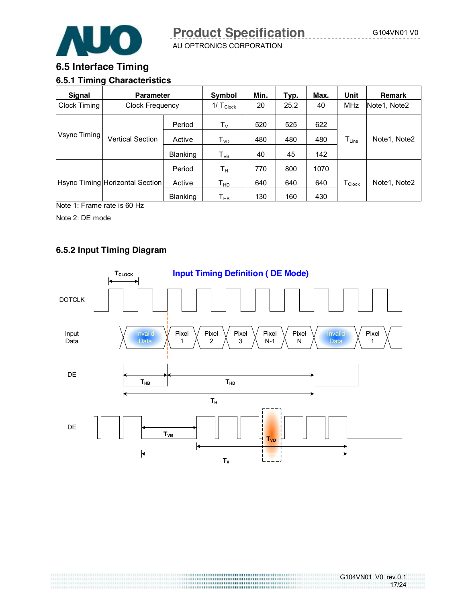

#### **6.5 Interface Timing**

#### **6.5.1 Timing Characteristics**

| <b>Signal</b><br><b>Parameter</b>      |                                 |          | Symbol                     | Min. | Typ. | Max. | Unit               | <b>Remark</b> |
|----------------------------------------|---------------------------------|----------|----------------------------|------|------|------|--------------------|---------------|
| Clock Timing<br><b>Clock Frequency</b> |                                 |          | $1/\top_{\text{Clock}}$    | 20   | 25.2 | 40   | MHz                | Note1, Note2  |
|                                        |                                 | Period   | $\mathsf{T}_\mathsf{V}$    | 520  | 525  | 622  |                    |               |
| Vsync Timing                           | <b>Vertical Section</b>         | Active   | $\mathsf{T}_{\mathsf{VD}}$ | 480  | 480  | 480  | $T_{Line}$         | Note1, Note2  |
|                                        |                                 | Blanking | $\mathsf{T}_{\mathsf{VB}}$ | 40   | 45   | 142  |                    |               |
|                                        |                                 | Period   | Tн                         | 770  | 800  | 1070 |                    |               |
|                                        | Hsync Timing Horizontal Section | Active   | Тнр                        | 640  | 640  | 640  | $T_{\text{Clock}}$ | Note1, Note2  |
|                                        |                                 | Blanking | Т <sub>нв</sub>            | 130  | 160  | 430  |                    |               |

Note 1: Frame rate is 60 Hz

Note 2: DE mode

#### **6.5.2 Input Timing Diagram**

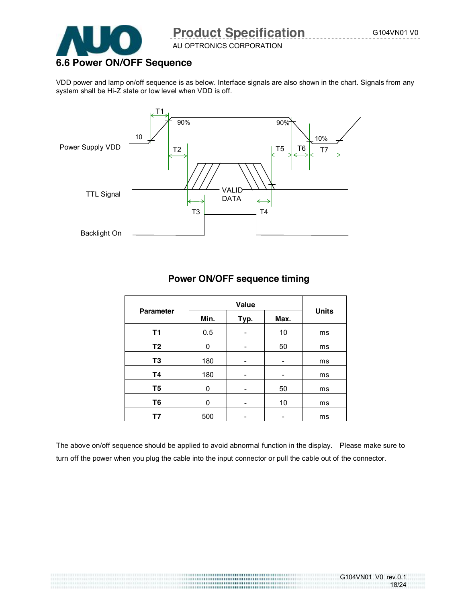18/24



## **Product Specification G104VN01 V0**

AU OPTRONICS CORPORATION

## **6.6 Power ON/OFF Sequence**

VDD power and lamp on/off sequence is as below. Interface signals are also shown in the chart. Signals from any system shall be Hi-Z state or low level when VDD is off.



#### **Power ON/OFF sequence timing**

| <b>Parameter</b> | Min. | Typ. | Max. | <b>Units</b> |  |
|------------------|------|------|------|--------------|--|
| <b>T1</b>        | 0.5  |      | 10   | ms           |  |
| T <sub>2</sub>   | 0    |      | 50   | ms           |  |
| T <sub>3</sub>   | 180  | -    | -    | ms           |  |
| T4               | 180  |      |      | ms           |  |
| T <sub>5</sub>   | 0    |      | 50   | ms           |  |
| T <sub>6</sub>   | 0    |      | 10   | ms           |  |
| Τ7               | 500  |      |      | ms           |  |

The above on/off sequence should be applied to avoid abnormal function in the display. Please make sure to turn off the power when you plug the cable into the input connector or pull the cable out of the connector.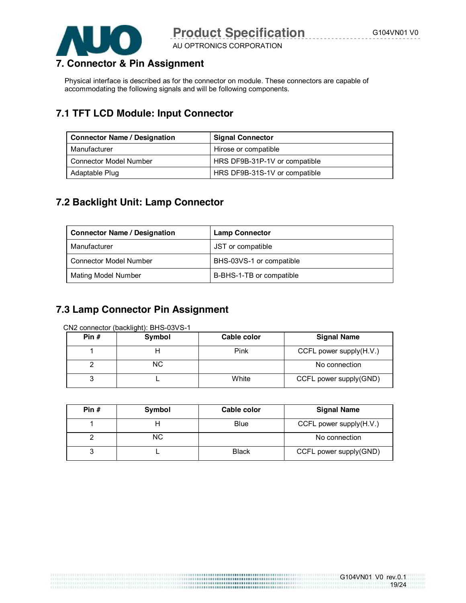



AU OPTRONICS CORPORATION

### **7. Connector & Pin Assignment**

Physical interface is described as for the connector on module. These connectors are capable of accommodating the following signals and will be following components.

## **7.1 TFT LCD Module: Input Connector**

| <b>Connector Name / Designation</b> | <b>Signal Connector</b>       |
|-------------------------------------|-------------------------------|
| Manufacturer                        | Hirose or compatible          |
| Connector Model Number              | HRS DF9B-31P-1V or compatible |
| Adaptable Plug                      | HRS DF9B-31S-1V or compatible |

#### **7.2 Backlight Unit: Lamp Connector**

| <b>Connector Name / Designation</b> | <b>Lamp Connector</b>    |
|-------------------------------------|--------------------------|
| Manufacturer                        | JST or compatible        |
| <b>Connector Model Number</b>       | BHS-03VS-1 or compatible |
| <b>Mating Model Number</b>          | B-BHS-1-TB or compatible |

## **7.3 Lamp Connector Pin Assignment**

CN2 connector (backlight): BHS-03VS-1

| Pin $#$ | Symbol | Cable color | <b>Signal Name</b>         |
|---------|--------|-------------|----------------------------|
|         |        | Pink        | CCFL power supply $(H.V.)$ |
|         | NC.    |             | No connection              |
|         |        | White       | CCFL power supply(GND)     |

| Pin $#$ | Symbol | Cable color  | <b>Signal Name</b>         |
|---------|--------|--------------|----------------------------|
|         |        | <b>Blue</b>  | CCFL power supply $(H.V.)$ |
|         | NC.    |              | No connection              |
|         |        | <b>Black</b> | CCFL power supply(GND)     |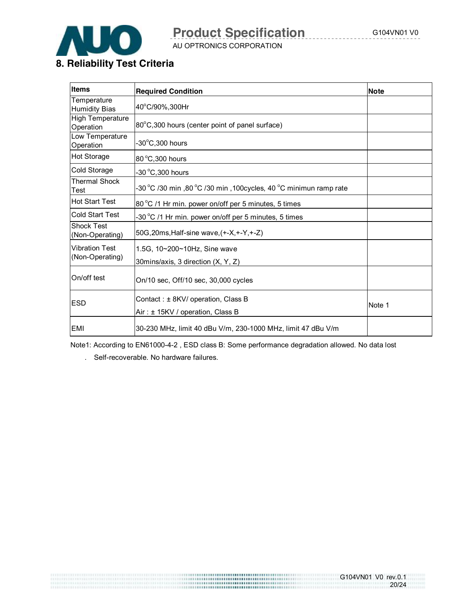

AU OPTRONICS CORPORATION

G104VN01 V0 rev.0.1

20/24

### **8. Reliability Test Criteria**

| <b>Items</b><br><b>Required Condition</b>                                                |                                                                    | <b>Note</b> |
|------------------------------------------------------------------------------------------|--------------------------------------------------------------------|-------------|
| Temperature<br><b>Humidity Bias</b>                                                      | 40°C/90%,300Hr                                                     |             |
| <b>High Temperature</b><br>Operation                                                     | 80°C,300 hours (center point of panel surface)                     |             |
| Low Temperature<br>Operation                                                             | $-30^{\circ}$ C,300 hours                                          |             |
| Hot Storage                                                                              | 80 °C, 300 hours                                                   |             |
| Cold Storage                                                                             | -30 °C,300 hours                                                   |             |
| <b>Thermal Shock</b><br>Test                                                             | -30 °C /30 min ,80 °C /30 min ,100 cycles, 40 °C minimun ramp rate |             |
| <b>Hot Start Test</b>                                                                    | 80 °C /1 Hr min. power on/off per 5 minutes, 5 times               |             |
| Cold Start Test                                                                          | -30 °C /1 Hr min. power on/off per 5 minutes, 5 times              |             |
| <b>Shock Test</b><br>(Non-Operating)                                                     | 50G, 20ms, Half-sine wave, (+-X, +-Y, +-Z)                         |             |
| <b>Vibration Test</b><br>(Non-Operating)                                                 | 1.5G, 10~200~10Hz, Sine wave<br>30mins/axis, 3 direction (X, Y, Z) |             |
| On/off test                                                                              | On/10 sec, Off/10 sec, 30,000 cycles                               |             |
| Contact: $\pm$ 8KV/ operation, Class B<br><b>ESD</b><br>Air: ± 15KV / operation, Class B |                                                                    | Note 1      |
| EMI                                                                                      | 30-230 MHz, limit 40 dBu V/m, 230-1000 MHz, limit 47 dBu V/m       |             |

Note1: According to EN61000-4-2 , ESD class B: Some performance degradation allowed. No data lost

. Self-recoverable. No hardware failures.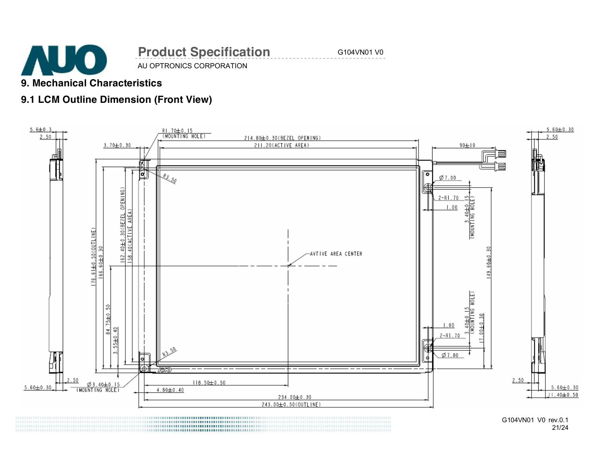

## AU OPTRONICS CORPORATION **Product Specification** G104VN01 V0

### **9. Mechanical Characteristics**

## **9.1 LCM Outline Dimension (Front View)**



G104VN01 V0 rev.0.1 21/24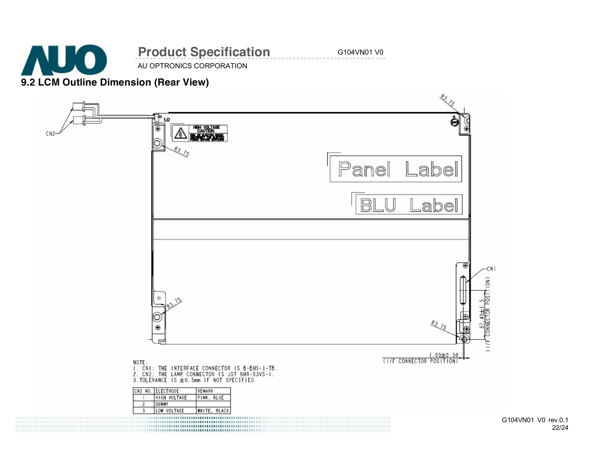

G104VN01 V0 rev.0.1 22/24

(NOI)

 $\frac{5}{2}$ 

CONNECTOR

起入

1.00±0.50

NOTE : NUMERIAL THE INTERFACE CONNECTOR IS B-BHS-I-TB.<br>2. CN2: THE LAMP CONNECTOR IS JST BHR-03VS-I.<br>3.TOLERANCE IS ±0.5mm IF NOT SPECIFIED.

| <b>I ELECTRODE</b> | <b>REMARK</b> |
|--------------------|---------------|
| HIGH VOLTAGE       | PINK<br>BLUE  |
| <b>DUMMY</b>       |               |
| VOLTAGE            | WHITE,        |

1990 - La composició de la composició de la composició de la composició de la composició de la composició de l<br>De la composició de la composició de la composició de la composició de la composició de la composició de la co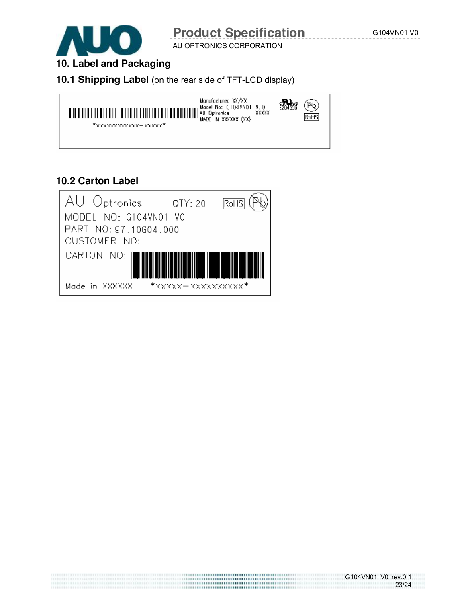

AU OPTRONICS CORPORATION

## **10. Label and Packaging**

#### **10.1 Shipping Label** (on the rear side of TFT-LCD display)



#### **10.2 Carton Label**